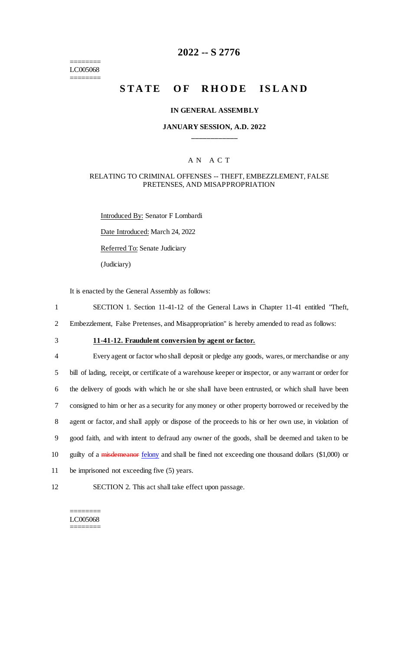======== LC005068 ========

## **2022 -- S 2776**

# **STATE OF RHODE ISLAND**

#### **IN GENERAL ASSEMBLY**

### **JANUARY SESSION, A.D. 2022 \_\_\_\_\_\_\_\_\_\_\_\_**

### A N A C T

### RELATING TO CRIMINAL OFFENSES -- THEFT, EMBEZZLEMENT, FALSE PRETENSES, AND MISAPPROPRIATION

Introduced By: Senator F Lombardi Date Introduced: March 24, 2022 Referred To: Senate Judiciary (Judiciary)

It is enacted by the General Assembly as follows:

1 SECTION 1. Section 11-41-12 of the General Laws in Chapter 11-41 entitled "Theft,

2 Embezzlement, False Pretenses, and Misappropriation" is hereby amended to read as follows:

## 3 **11-41-12. Fraudulent conversion by agent or factor.**

 Every agent or factor who shall deposit or pledge any goods, wares, or merchandise or any bill of lading, receipt, or certificate of a warehouse keeper or inspector, or any warrant or order for the delivery of goods with which he or she shall have been entrusted, or which shall have been consigned to him or her as a security for any money or other property borrowed or received by the agent or factor, and shall apply or dispose of the proceeds to his or her own use, in violation of good faith, and with intent to defraud any owner of the goods, shall be deemed and taken to be 10 guilty of a misdemeanor felony and shall be fined not exceeding one thousand dollars (\$1,000) or be imprisoned not exceeding five (5) years.

12 SECTION 2. This act shall take effect upon passage.

#### ======== LC005068 ========